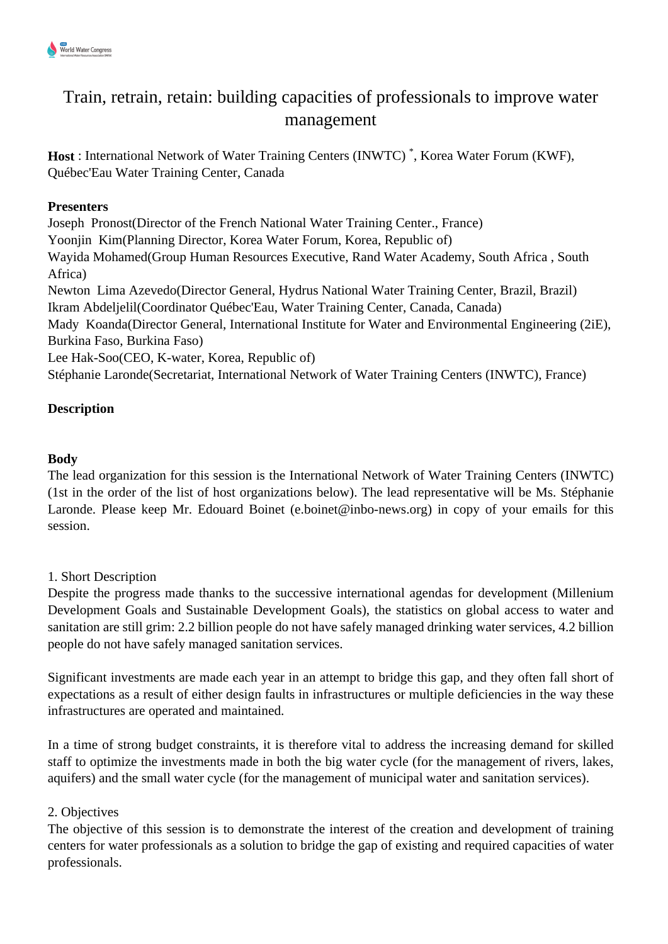

# Train, retrain, retain: building capacities of professionals to improve water management

**Host** : International Network of Water Training Centers (INWTC) \* , Korea Water Forum (KWF), Québec'Eau Water Training Center, Canada

## **Presenters**

Joseph Pronost(Director of the French National Water Training Center., France) Yoonjin Kim(Planning Director, Korea Water Forum, Korea, Republic of) Wayida Mohamed(Group Human Resources Executive, Rand Water Academy, South Africa , South Africa) Newton Lima Azevedo(Director General, Hydrus National Water Training Center, Brazil, Brazil) Ikram Abdeljelil(Coordinator Québec'Eau, Water Training Center, Canada, Canada) Mady Koanda(Director General, International Institute for Water and Environmental Engineering (2iE), Burkina Faso, Burkina Faso) Lee Hak-Soo(CEO, K-water, Korea, Republic of)

Stéphanie Laronde(Secretariat, International Network of Water Training Centers (INWTC), France)

## **Description**

## **Body**

The lead organization for this session is the International Network of Water Training Centers (INWTC) (1st in the order of the list of host organizations below). The lead representative will be Ms. Stéphanie Laronde. Please keep Mr. Edouard Boinet (e.boinet@inbo-news.org) in copy of your emails for this session.

### 1. Short Description

Despite the progress made thanks to the successive international agendas for development (Millenium Development Goals and Sustainable Development Goals), the statistics on global access to water and sanitation are still grim: 2.2 billion people do not have safely managed drinking water services, 4.2 billion people do not have safely managed sanitation services.

Significant investments are made each year in an attempt to bridge this gap, and they often fall short of expectations as a result of either design faults in infrastructures or multiple deficiencies in the way these infrastructures are operated and maintained.

In a time of strong budget constraints, it is therefore vital to address the increasing demand for skilled staff to optimize the investments made in both the big water cycle (for the management of rivers, lakes, aquifers) and the small water cycle (for the management of municipal water and sanitation services).

### 2. Objectives

The objective of this session is to demonstrate the interest of the creation and development of training centers for water professionals as a solution to bridge the gap of existing and required capacities of water professionals.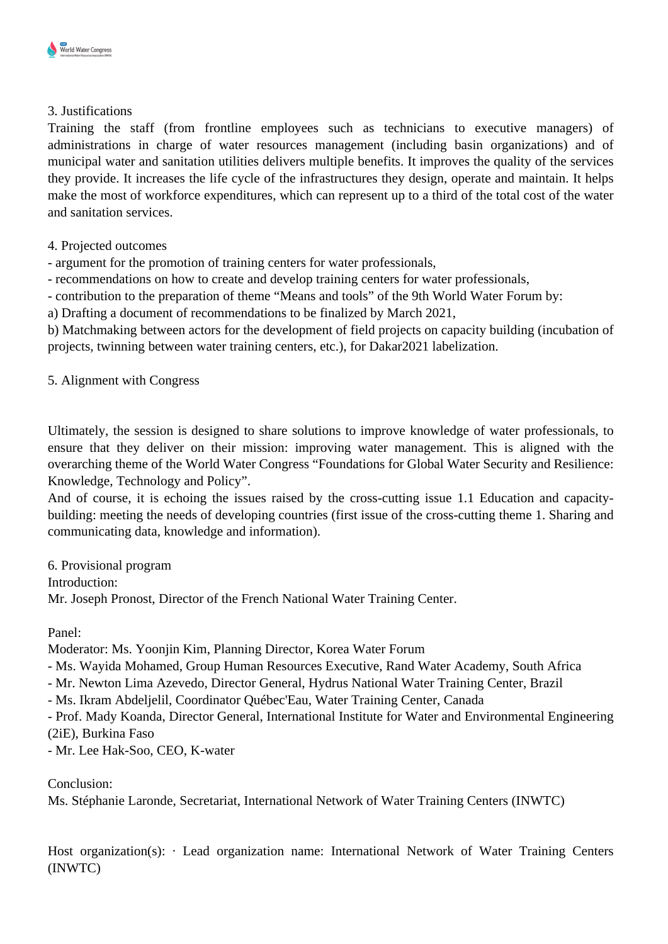#### 3. Justifications

Training the staff (from frontline employees such as technicians to executive managers) of administrations in charge of water resources management (including basin organizations) and of municipal water and sanitation utilities delivers multiple benefits. It improves the quality of the services they provide. It increases the life cycle of the infrastructures they design, operate and maintain. It helps make the most of workforce expenditures, which can represent up to a third of the total cost of the water and sanitation services.

### 4. Projected outcomes

- argument for the promotion of training centers for water professionals,

- recommendations on how to create and develop training centers for water professionals,

- contribution to the preparation of theme "Means and tools" of the 9th World Water Forum by:

a) Drafting a document of recommendations to be finalized by March 2021,

b) Matchmaking between actors for the development of field projects on capacity building (incubation of projects, twinning between water training centers, etc.), for Dakar2021 labelization.

5. Alignment with Congress

Ultimately, the session is designed to share solutions to improve knowledge of water professionals, to ensure that they deliver on their mission: improving water management. This is aligned with the overarching theme of the World Water Congress "Foundations for Global Water Security and Resilience: Knowledge, Technology and Policy".

And of course, it is echoing the issues raised by the cross-cutting issue 1.1 Education and capacitybuilding: meeting the needs of developing countries (first issue of the cross-cutting theme 1. Sharing and communicating data, knowledge and information).

6. Provisional program Introduction: Mr. Joseph Pronost, Director of the French National Water Training Center.

Panel:

Moderator: Ms. Yoonjin Kim, Planning Director, Korea Water Forum

- Ms. Wayida Mohamed, Group Human Resources Executive, Rand Water Academy, South Africa
- Mr. Newton Lima Azevedo, Director General, Hydrus National Water Training Center, Brazil
- Ms. Ikram Abdeljelil, Coordinator Québec'Eau, Water Training Center, Canada

- Prof. Mady Koanda, Director General, International Institute for Water and Environmental Engineering (2iE), Burkina Faso

- Mr. Lee Hak-Soo, CEO, K-water

Conclusion:

Ms. Stéphanie Laronde, Secretariat, International Network of Water Training Centers (INWTC)

Host organization(s):  $\cdot$  Lead organization name: International Network of Water Training Centers (INWTC)